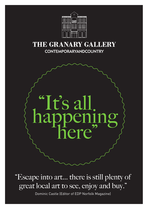

# THE GRANARY GALLERY **CONTEMPORARYANDCOUNTRY**



"Escape into art... there is still plenty of great local art to see, enjoy and buy."

Dominic Castle (Editor of EDP Norfolk Magazine)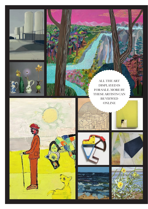













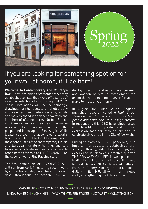

# If you are looking for something spot on for your wall at home, it'll be here!

**Welcome to Contemporary and Country's (C&C)** first exhibition of contemporary art by established artists, that kicks off a series of seasonal selections to run throughout 2022. These installations will include paintings, drawings, prints, sculpture, photography and selected handmade objects by artists and makers based in or close to Norwich and its sphere of influence across Norfolk, Suffolk and Cambridgeshire. Their fresh, innovative work reflects the unique qualities of the people and landscape of East Anglia. While locally sourced, the assembled artworks have been selected by C&C to complement the cleaner lines of the contemporary British and European furniture, lighting, and soft furnishings with internationally recognisable brand names for sale at THE GRANARY – on the second floor of this flagship store.

The first installation for – SPRING 2022 – will run from April 1, featuring recent work by influential artists, based here. On select days, throughout the season C&C will

display one-off, handmade glass, ceramic and wooden objects to complement the art on the walls, making it easier for you to make to most of your home.

In August 2021, Arts Council England published research called A High Street Renaissance: How arts and culture bring people and pride back to our high streets. In response to this, C&C have joined forces with Jarrold to bring retail and cultural expression together through art and to celebrate civic pride in the City of Norwich.

Emerging from the COVID pandemic, it is important for us all to re-establish cultural activity in the city, adding to a more enjoyable experience in Norwich's creative quarter. THE GRANARY GALLERY is well placed on Bedford Street as a new art space. It is close to East Gallery (NUA's dedicated gallery), Fairhurst Gallery, Moosey Art and Mandells Gallery in Elm Hill, all within ten minutes walk, strengthening the City's art trail.

MARY BLUE • KATARZYNA COLEMAN –• POLLY CRUSE • AMANDA EDGCOMBE LINDA JAMIESON • JOHN KIKI • IVY SMITH •TELFER STOKES • LIZ TAUNT • MOLLY THOMSON –